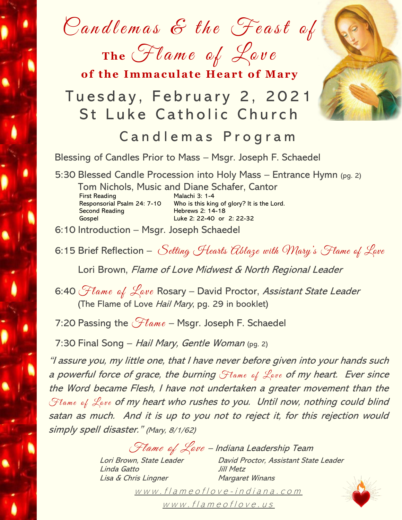Candlemas  $\mathcal E$  the Feast of

The Flame of Love

of the Immaculate Heart of Mary

# Tuesday, February 2, 2021 St Luke Catholic Church

## Candlemas Program

Blessing of Candles Prior to Mass – Msgr. Joseph F. Schaedel

5:30 Blessed Candle Procession into Holy Mass – Entrance Hymn (pg. 2)

Tom Nichols, Music and Diane Schafer, Cantor First Reading Malachi 3: 1-4<br>Responsorial Psalm 24: 7-10 Who is this kin Who is this king of glory? It is the Lord. Second Reading Hebrews 2: 14-18 Gospel Luke 2: 22-40 or 2: 22-32

6:10 Introduction – Msgr. Joseph Schaedel

6:15 Brief Reflection – Setting Hearts ablaze with Mary's Flame of Lave

Lori Brown, Flame of Love Midwest & North Regional Leader

6:40 Flame of Love Rosary - David Proctor, Assistant State Leader (The Flame of Love Hail Mary, pg. 29 in booklet)

7:20 Passing the  $\mathcal{F}$ lame – Msgr. Joseph F. Schaedel

7:30 Final Song – Hail Mary, Gentle Woman (pg. 2)

"I assure you, my little one, that I have never before given into your hands such a powerful force of grace, the burning  $\mathcal{F}$ lame of  $\mathcal{L}_{ave}$  of my heart. Ever since the Word became Flesh, I have not undertaken a greater movement than the Flame of Lave of my heart who rushes to you. Until now, nothing could blind satan as much. And it is up to you not to reject it, for this rejection would simply spell disaster." (Mary, 8/1/62)

Flame of Love – Indiana Leadership Team

Linda Gatto Jill Metz Lisa & Chris Lingner Margaret Winans

Lori Brown, State Leader David Proctor, Assistant State Leader

www.flameoflove-in[d](http://www.flameoflove-indiana.com/)iana.com  $www.f/a$  $www.f/a$  me of love.us